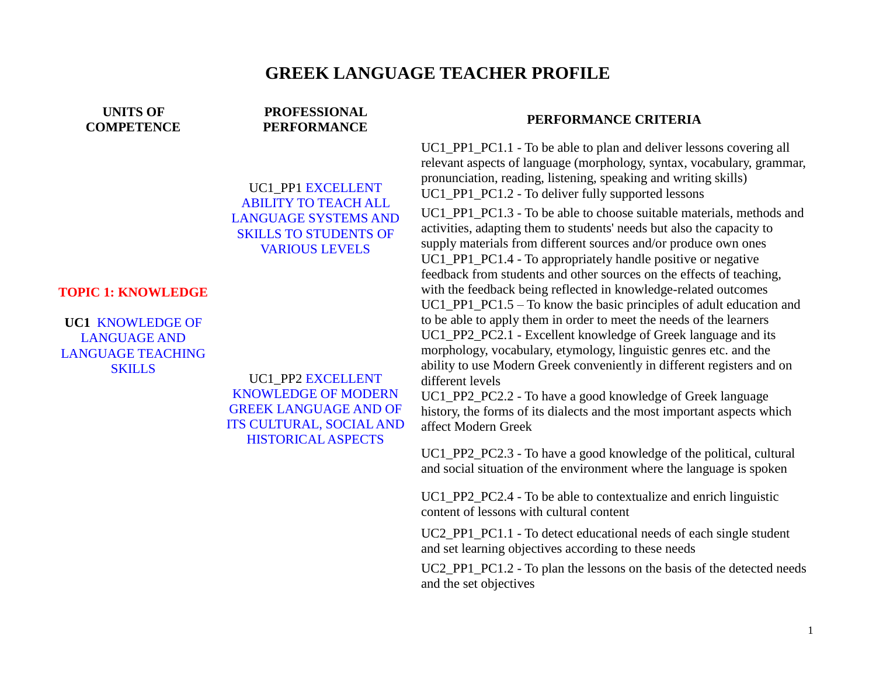## **GREEK LANGUAGE TEACHER PROFILE**

**UNITS OF COMPETENCE**

# **PROFESSIONAL**

UC1\_PP1 EXCELLENT ABILITY TO TEACH ALL LANGUAGE SYSTEMS AND SKILLS TO STUDENTS OF VARIOUS LEVELS

#### **TOPIC 1: KNOWLEDGE**

**UC1** KNOWLEDGE OF LANGUAGE AND LANGUAGE TEACHING SKILLS

UC1\_PP2 EXCELLENT KNOWLEDGE OF MODERN GREEK LANGUAGE AND OF ITS CULTURAL, SOCIAL AND HISTORICAL ASPECTS

## **PERFORMANCE PERFORMANCE CRITERIA**

UC1\_PP1\_PC1.1 - To be able to plan and deliver lessons covering all relevant aspects of language (morphology, syntax, vocabulary, grammar, pronunciation, reading, listening, speaking and writing skills) UC1 PP1 PC1.2 - To deliver fully supported lessons

UC1 PP1 PC1.3 - To be able to choose suitable materials, methods and activities, adapting them to students' needs but also the capacity to supply materials from different sources and/or produce own ones UC1\_PP1\_PC1.4 - To appropriately handle positive or negative feedback from students and other sources on the effects of teaching, with the feedback being reflected in knowledge-related outcomes UC1 PP1  $PC1.5 - To know the basic principles of adult education and$ to be able to apply them in order to meet the needs of the learners UC1\_PP2\_PC2.1 - Excellent knowledge of Greek language and its morphology, vocabulary, etymology, linguistic genres etc. and the ability to use Modern Greek conveniently in different registers and on different levels

UC1 PP2 PC2.2 - To have a good knowledge of Greek language history, the forms of its dialects and the most important aspects which affect Modern Greek

UC1\_PP2\_PC2.3 - To have a good knowledge of the political, cultural and social situation of the environment where the language is spoken

UC1 PP2 PC2.4 - To be able to contextualize and enrich linguistic content of lessons with cultural content

UC2\_PP1\_PC1.1 - To detect educational needs of each single student and set learning objectives according to these needs

UC2 PP1 PC1.2 - To plan the lessons on the basis of the detected needs and the set objectives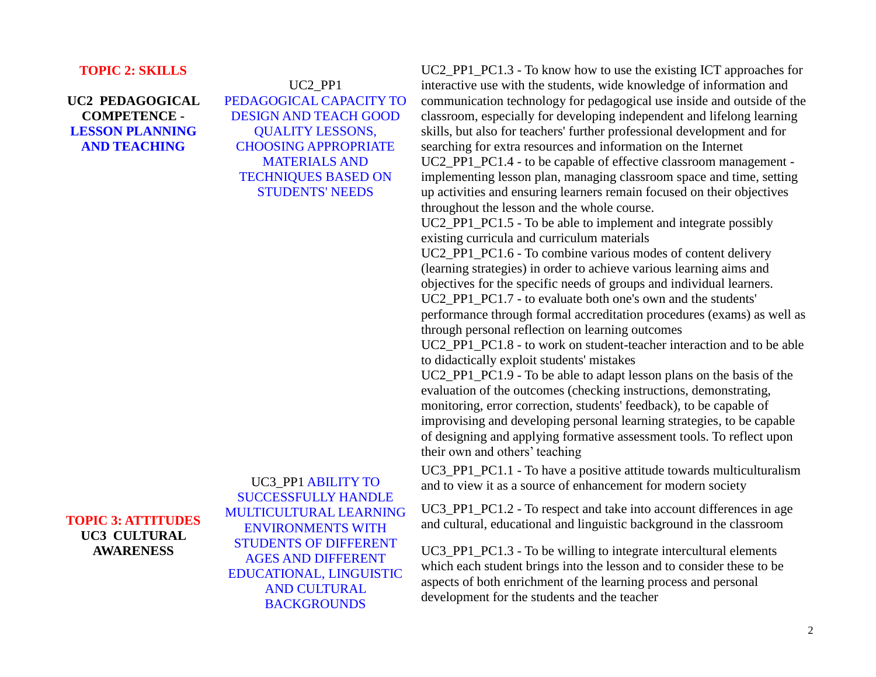#### **TOPIC 2: SKILLS**

**UC2 PEDAGOGICAL COMPETENCE - LESSON PLANNING AND TEACHING**

UC2\_PP1 PEDAGOGICAL CAPACITY TO DESIGN AND TEACH GOOD QUALITY LESSONS, CHOOSING APPROPRIATE MATERIALS AND TECHNIQUES BASED ON STUDENTS' NEEDS

**TOPIC 3: ATTITUDES UC3 CULTURAL AWARENESS**

UC3\_PP1 ABILITY TO SUCCESSFULLY HANDLE MULTICULTURAL LEARNING ENVIRONMENTS WITH STUDENTS OF DIFFERENT AGES AND DIFFERENT EDUCATIONAL, LINGUISTIC AND CULTURAL **BACKGROUNDS** 

UC2 PP1 PC1.3 - To know how to use the existing ICT approaches for interactive use with the students, wide knowledge of information and communication technology for pedagogical use inside and outside of the classroom, especially for developing independent and lifelong learning skills, but also for teachers' further professional development and for searching for extra resources and information on the Internet UC2 PP1 PC1.4 - to be capable of effective classroom management implementing lesson plan, managing classroom space and time, setting up activities and ensuring learners remain focused on their objectives throughout the lesson and the whole course.

UC2 PP1 PC1.5 - To be able to implement and integrate possibly existing curricula and curriculum materials

UC2 PP1 PC1.6 - To combine various modes of content delivery (learning strategies) in order to achieve various learning aims and objectives for the specific needs of groups and individual learners. UC2 PP1 PC1.7 - to evaluate both one's own and the students' performance through formal accreditation procedures (exams) as well as

through personal reflection on learning outcomes

UC2 PP1 PC1.8 - to work on student-teacher interaction and to be able to didactically exploit students' mistakes

UC2 PP1 PC1.9 - To be able to adapt lesson plans on the basis of the evaluation of the outcomes (checking instructions, demonstrating, monitoring, error correction, students' feedback), to be capable of improvising and developing personal learning strategies, to be capable of designing and applying formative assessment tools. To reflect upon their own and others' teaching

UC3 PP1 PC1.1 - To have a positive attitude towards multiculturalism and to view it as a source of enhancement for modern society

UC3 PP1 PC1.2 - To respect and take into account differences in age and cultural, educational and linguistic background in the classroom

UC3 PP1 PC1.3 - To be willing to integrate intercultural elements which each student brings into the lesson and to consider these to be aspects of both enrichment of the learning process and personal development for the students and the teacher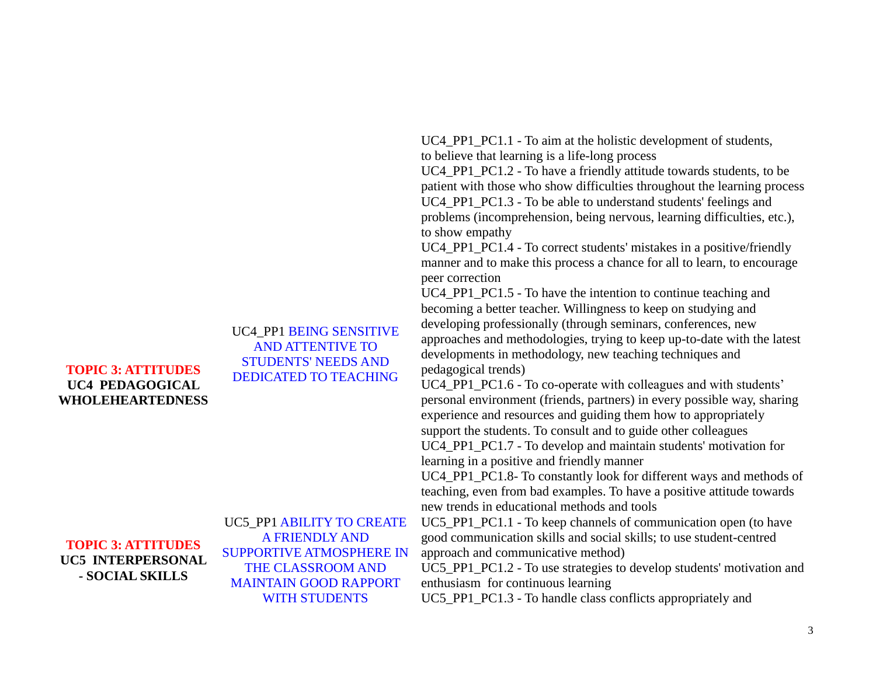### **TOPIC 3: ATTITUDES UC4 PEDAGOGICAL WHOLEHEARTEDNESS**

UC4\_PP1 BEING SENSITIVE AND ATTENTIVE TO STUDENTS' NEEDS AND DEDICATED TO TEACHING

**TOPIC 3: ATTITUDES UC5 INTERPERSONAL - SOCIAL SKILLS**

UC5\_PP1 ABILITY TO CREATE A FRIENDLY AND SUPPORTIVE ATMOSPHERE IN THE CLASSROOM AND MAINTAIN GOOD RAPPORT WITH STUDENTS

UC4 PP1 PC1.1 - To aim at the holistic development of students, to believe that learning is a life-long process

UC4\_PP1\_PC1.2 - To have a friendly attitude towards students, to be patient with those who show difficulties throughout the learning process UC4\_PP1\_PC1.3 - To be able to understand students' feelings and problems (incomprehension, being nervous, learning difficulties, etc.), to show empathy

UC4\_PP1\_PC1.4 - To correct students' mistakes in a positive/friendly manner and to make this process a chance for all to learn, to encourage peer correction

UC4 PP1 PC1.5 - To have the intention to continue teaching and becoming a better teacher. Willingness to keep on studying and developing professionally (through seminars, conferences, new approaches and methodologies, trying to keep up-to-date with the latest developments in methodology, new teaching techniques and pedagogical trends)

UC4 PP1 PC1.6 - To co-operate with colleagues and with students' personal environment (friends, partners) in every possible way, sharing experience and resources and guiding them how to appropriately support the students. To consult and to guide other colleagues UC4 PP1 PC1.7 - To develop and maintain students' motivation for learning in a positive and friendly manner

UC4 PP1 PC1.8- To constantly look for different ways and methods of teaching, even from bad examples. To have a positive attitude towards new trends in educational methods and tools

UC5\_PP1\_PC1.1 - To keep channels of communication open (to have good communication skills and social skills; to use student-centred approach and communicative method)

UC5\_PP1\_PC1.2 - To use strategies to develop students' motivation and enthusiasm for continuous learning

UC5 PP1 PC1.3 - To handle class conflicts appropriately and